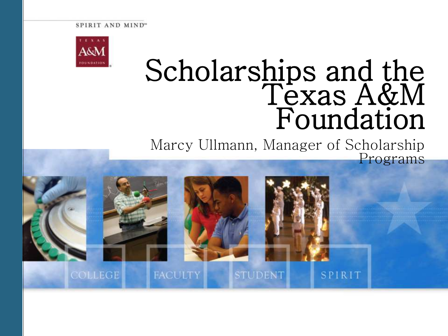SPIRIT AND MIND"



## Scholarships and the Texas A&M Foundation

Marcy Ullmann, Manager of Scholarship Programs

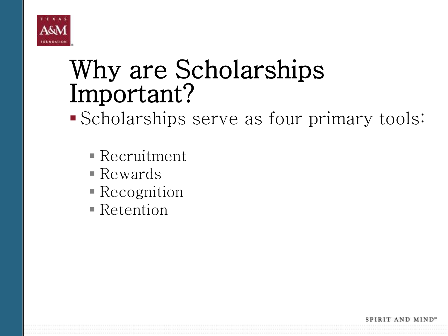

## Why are Scholarships Important?

Scholarships serve as four primary tools:

- Recruitment
- Rewards
- Recognition
- Retention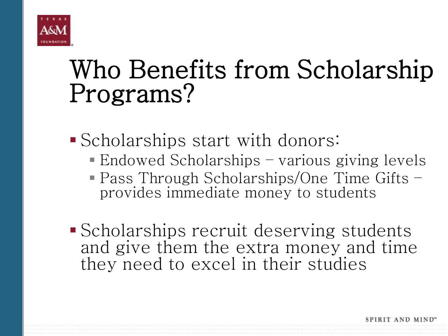

## Who Benefits from Scholarship Programs?

Scholarships start with donors:

- Endowed Scholarships various giving levels
- Pass Through Scholarships/One Time Gifts provides immediate money to students
- Scholarships recruit deserving students and give them the extra money and time they need to excel in their studies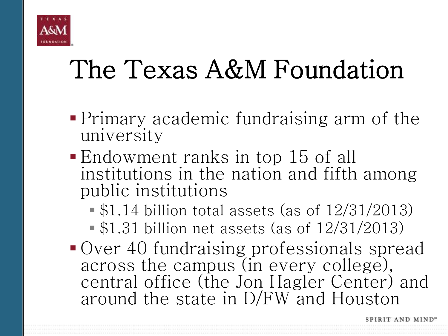

# The Texas A&M Foundation

- Primary academic fundraising arm of the university
- Endowment ranks in top 15 of all institutions in the nation and fifth among public institutions
	- $\bullet$  \$1.14 billion total assets (as of  $12/31/2013$ )
	- $\bullet$  \$1.31 billion net assets (as of  $12/31/2013$ )
- Over 40 fundraising professionals spread across the campus (in every college), central office (the Jon Hagler Center) and around the state in D/FW and Houston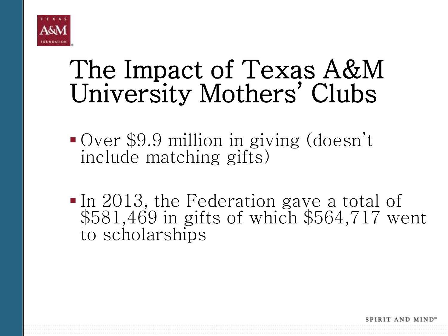

## The Impact of Texas A&M University Mothers' Clubs

- Over \$9.9 million in giving (doesn't include matching gifts)
- In 2013, the Federation gave a total of \$581,469 in gifts of which \$564,717 went to scholarships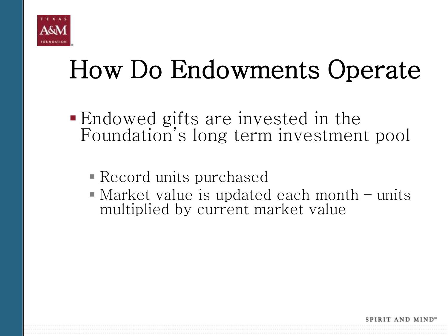

# How Do Endowments Operate

- Endowed gifts are invested in the Foundation's long term investment pool
	- Record units purchased
	- $\blacksquare$  Market value is updated each month  $\lightharpoonup$  units multiplied by current market value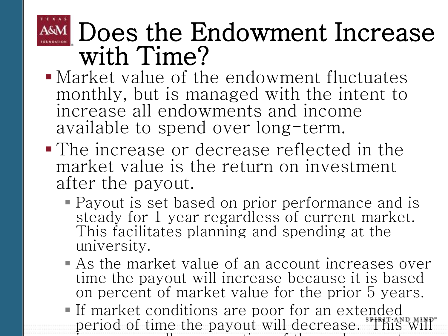

## AGAM Does the Endowment Increase with Time?

- Market value of the endowment fluctuates monthly, but is managed with the intent to increase all endowments and income available to spend over long-term.
- The increase or decrease reflected in the market value is the return on investment after the payout.
	- Payout is set based on prior performance and is steady for 1 year regardless of current market. This facilitates planning and spending at the university.
	- As the market value of an account increases over time the payout will increase because it is based on percent of market value for the prior 5 years.
	- If market conditions are poor for an extended period of time the payout will decrease. **This will i**nsure over all preservation over all preservation of the endowment of the endowment of the endowment of the endowment of the endowment of the endowment of the endowment of the endowment of the endowment of the endowment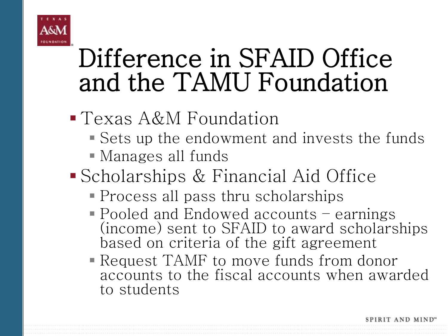

## Difference in SFAID Office and the TAMU Foundation

- Texas A&M Foundation
	- Sets up the endowment and invests the funds
	- Manages all funds
- Scholarships & Financial Aid Office
	- Process all pass thru scholarships
	- Pooled and Endowed accounts earnings (income) sent to SFAID to award scholarships based on criteria of the gift agreement
	- Request TAMF to move funds from donor accounts to the fiscal accounts when awarded to students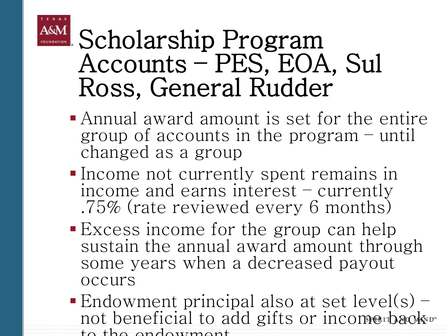

## Scholarship Program Accounts – PES, EOA, Sul Ross, General Rudder

- Annual award amount is set for the entire group of accounts in the program – until changed as a group
- Income not currently spent remains in income and earns interest – currently .75% (rate reviewed every 6 months)
- Excess income for the group can help sustain the annual award amount through some years when a decreased payout occurs
- Endowment principal also at set  $level(s)$  not beneficial to add gifts or income back or to the endowment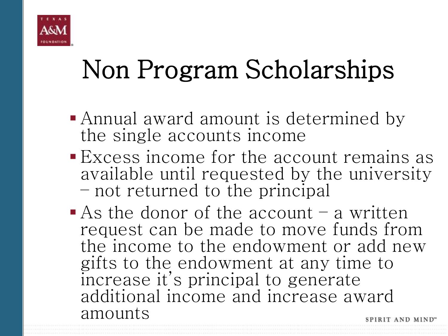

# Non Program Scholarships

- Annual award amount is determined by the single accounts income
- Excess income for the account remains as available until requested by the university – not returned to the principal
- As the donor of the account  $-$  a written request can be made to move funds from the income to the endowment or add new gifts to the endowment at any time to increase it's principal to generate additional income and increase award amounts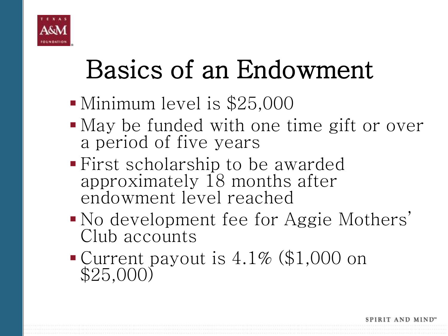

# Basics of an Endowment

- Minimum level is \$25,000
- May be funded with one time gift or over a period of five years
- First scholarship to be awarded approximately 18 months after endowment level reached
- No development fee for Aggie Mothers' Club accounts
- Current payout is 4.1% (\$1,000 on \$25,000)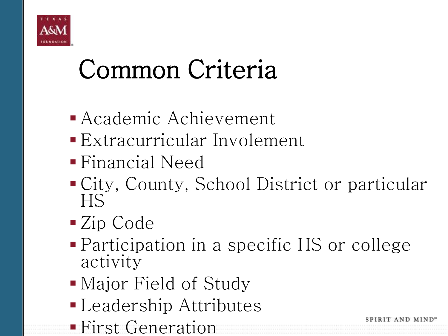

# Common Criteria

- Academic Achievement
- Extracurricular Involement
- Financial Need
- City, County, School District or particular HS
- Zip Code
- Participation in a specific HS or college activity
- Major Field of Study
- Leadership Attributes
- First Generation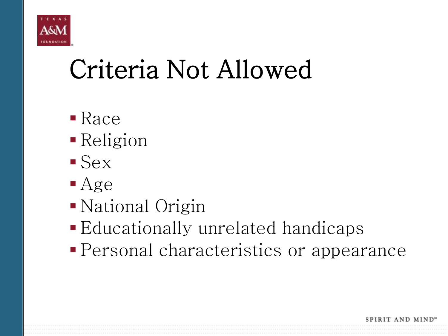

# Criteria Not Allowed

- Race
- Religion
- $\blacksquare$  Sex
- Age
- National Origin
- Educationally unrelated handicaps
- Personal characteristics or appearance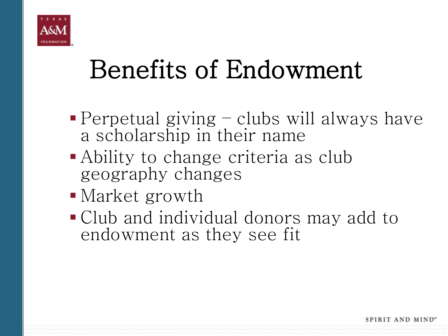

# Benefits of Endowment

- Perpetual giving clubs will always have a scholarship in their name
- Ability to change criteria as club geography changes
- Market growth
- Club and individual donors may add to endowment as they see fit